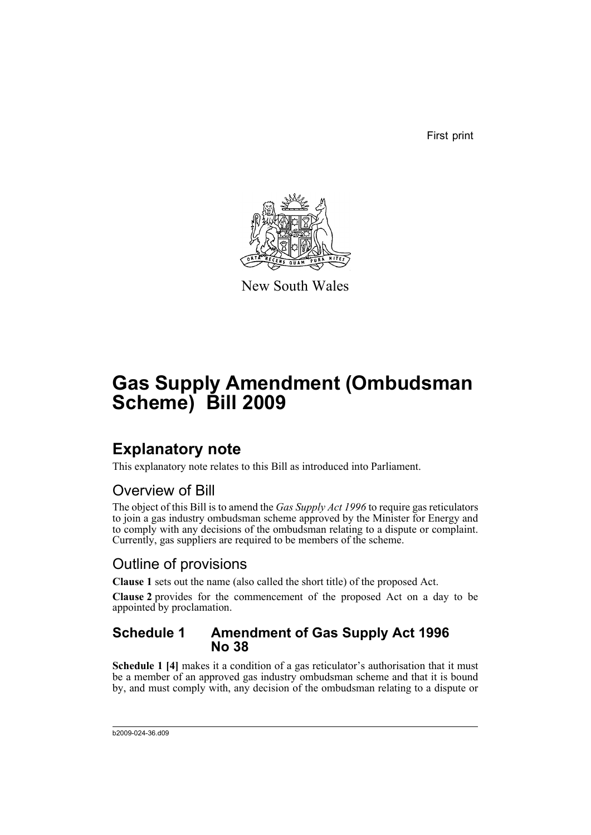First print



New South Wales

# **Gas Supply Amendment (Ombudsman Scheme) Bill 2009**

## **Explanatory note**

This explanatory note relates to this Bill as introduced into Parliament.

### Overview of Bill

The object of this Bill is to amend the *Gas Supply Act 1996* to require gas reticulators to join a gas industry ombudsman scheme approved by the Minister for Energy and to comply with any decisions of the ombudsman relating to a dispute or complaint. Currently, gas suppliers are required to be members of the scheme.

### Outline of provisions

**Clause 1** sets out the name (also called the short title) of the proposed Act.

**Clause 2** provides for the commencement of the proposed Act on a day to be appointed by proclamation.

### **Schedule 1 Amendment of Gas Supply Act 1996 No 38**

Schedule 1 [4] makes it a condition of a gas reticulator's authorisation that it must be a member of an approved gas industry ombudsman scheme and that it is bound by, and must comply with, any decision of the ombudsman relating to a dispute or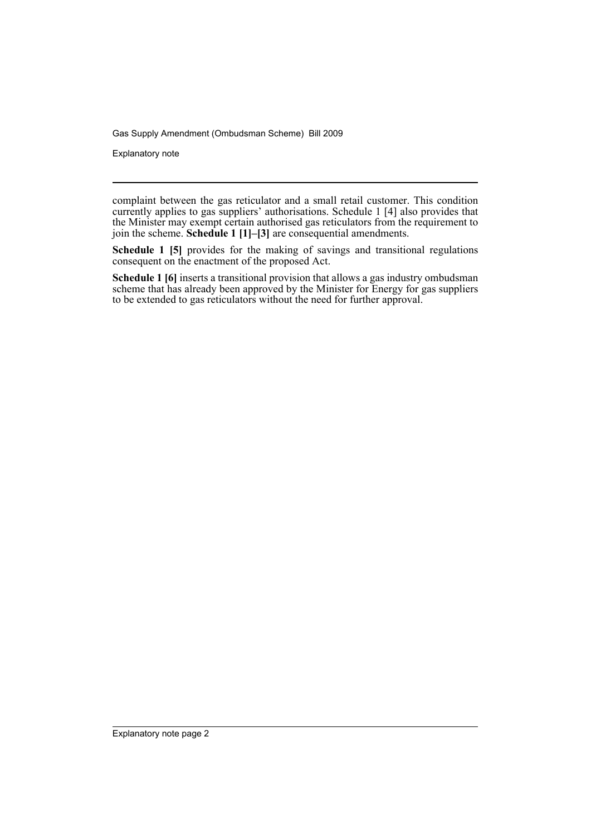Gas Supply Amendment (Ombudsman Scheme) Bill 2009

Explanatory note

complaint between the gas reticulator and a small retail customer. This condition currently applies to gas suppliers' authorisations. Schedule 1 [4] also provides that the Minister may exempt certain authorised gas reticulators from the requirement to join the scheme. **Schedule 1 [1]–[3]** are consequential amendments.

**Schedule 1 [5]** provides for the making of savings and transitional regulations consequent on the enactment of the proposed Act.

**Schedule 1 [6]** inserts a transitional provision that allows a gas industry ombudsman scheme that has already been approved by the Minister for Energy for gas suppliers to be extended to gas reticulators without the need for further approval.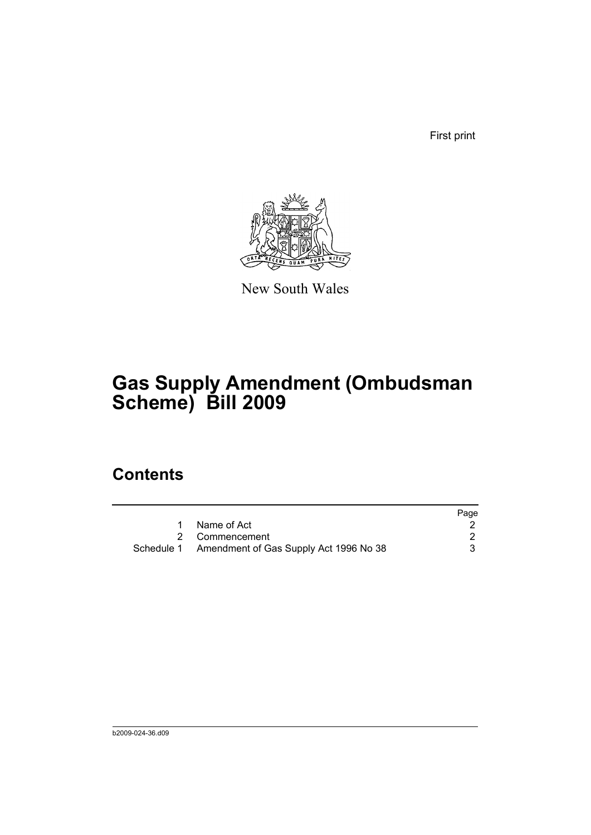First print



New South Wales

# **Gas Supply Amendment (Ombudsman Scheme) Bill 2009**

## **Contents**

|                                                   | Page |
|---------------------------------------------------|------|
| Name of Act                                       |      |
| 2 Commencement                                    |      |
| Schedule 1 Amendment of Gas Supply Act 1996 No 38 |      |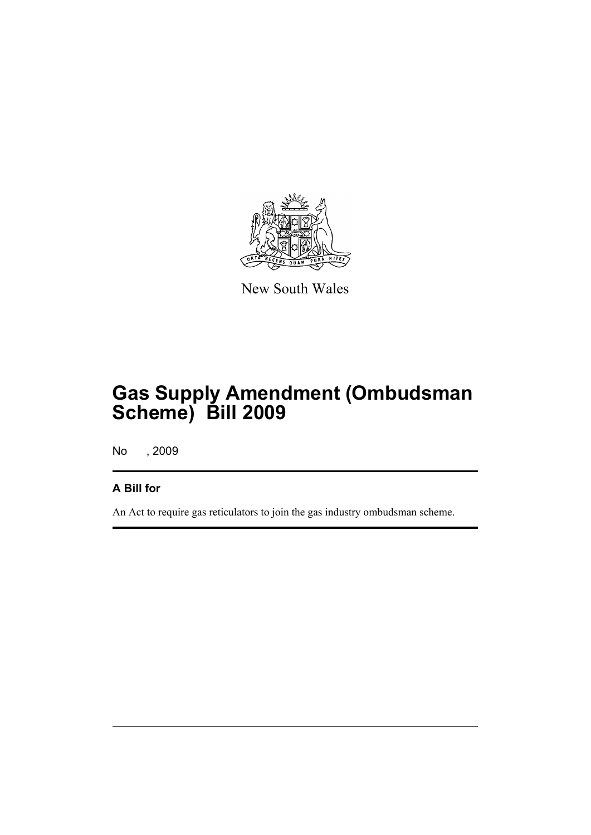

New South Wales

# **Gas Supply Amendment (Ombudsman Scheme) Bill 2009**

No , 2009

### **A Bill for**

An Act to require gas reticulators to join the gas industry ombudsman scheme.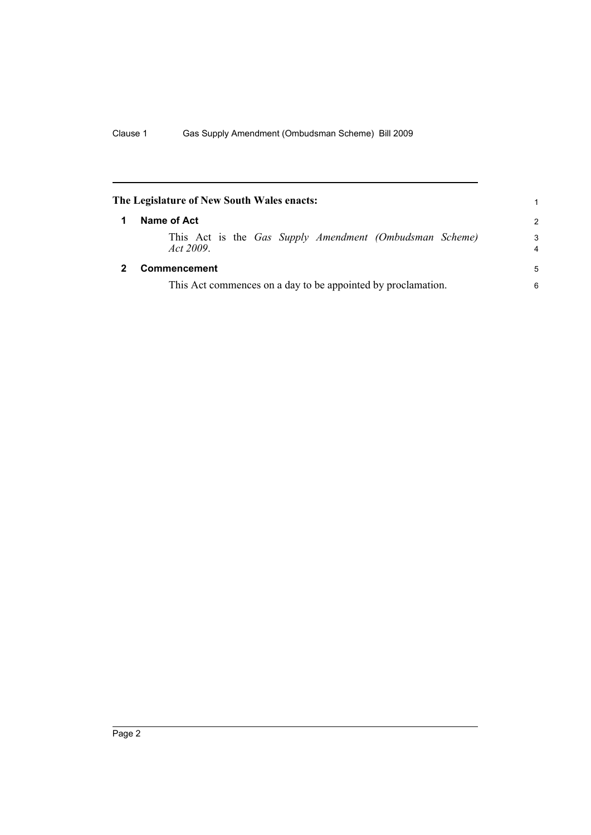<span id="page-5-1"></span><span id="page-5-0"></span>

| The Legislature of New South Wales enacts:                           | 1      |  |  |
|----------------------------------------------------------------------|--------|--|--|
| Name of Act                                                          |        |  |  |
| This Act is the Gas Supply Amendment (Ombudsman Scheme)<br>Act 2009. | 3<br>4 |  |  |
| Commencement                                                         | 5      |  |  |
| This Act commences on a day to be appointed by proclamation.         |        |  |  |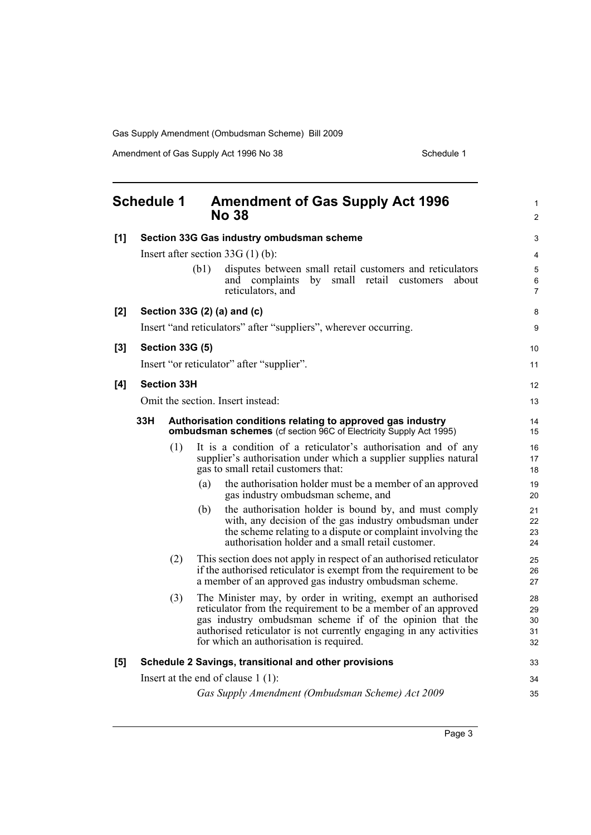Gas Supply Amendment (Ombudsman Scheme) Bill 2009

Amendment of Gas Supply Act 1996 No 38 Schedule 1

<span id="page-6-0"></span>

|     | <b>Schedule 1</b>                    |                        | <b>Amendment of Gas Supply Act 1996</b><br><b>No 38</b>                                                                                                                                                                                                                                                    | 1<br>$\overline{2}$        |  |
|-----|--------------------------------------|------------------------|------------------------------------------------------------------------------------------------------------------------------------------------------------------------------------------------------------------------------------------------------------------------------------------------------------|----------------------------|--|
| [1] |                                      |                        | Section 33G Gas industry ombudsman scheme                                                                                                                                                                                                                                                                  | 3                          |  |
|     |                                      |                        | Insert after section $33G(1)(b)$ :                                                                                                                                                                                                                                                                         | $\overline{4}$             |  |
|     |                                      |                        | disputes between small retail customers and reticulators<br>(b1)<br>and complaints by<br>small retail customers<br>about<br>reticulators, and                                                                                                                                                              | 5<br>6<br>$\overline{7}$   |  |
| [2] |                                      |                        | Section 33G (2) (a) and (c)                                                                                                                                                                                                                                                                                | 8                          |  |
|     |                                      |                        | Insert "and reticulators" after "suppliers", wherever occurring.                                                                                                                                                                                                                                           | 9                          |  |
| [3] |                                      | <b>Section 33G (5)</b> |                                                                                                                                                                                                                                                                                                            | 10                         |  |
|     |                                      |                        | Insert "or reticulator" after "supplier".                                                                                                                                                                                                                                                                  | 11                         |  |
| [4] |                                      | <b>Section 33H</b>     |                                                                                                                                                                                                                                                                                                            | 12                         |  |
|     |                                      |                        | Omit the section. Insert instead:                                                                                                                                                                                                                                                                          | 13                         |  |
|     | 33H                                  |                        | Authorisation conditions relating to approved gas industry<br>ombudsman schemes (cf section 96C of Electricity Supply Act 1995)                                                                                                                                                                            | 14<br>15                   |  |
|     |                                      | (1)                    | It is a condition of a reticulator's authorisation and of any<br>supplier's authorisation under which a supplier supplies natural<br>gas to small retail customers that:                                                                                                                                   | 16<br>17<br>18             |  |
|     |                                      |                        | the authorisation holder must be a member of an approved<br>(a)<br>gas industry ombudsman scheme, and                                                                                                                                                                                                      | 19<br>20                   |  |
|     |                                      |                        | the authorisation holder is bound by, and must comply<br>(b)<br>with, any decision of the gas industry ombudsman under<br>the scheme relating to a dispute or complaint involving the<br>authorisation holder and a small retail customer.                                                                 | 21<br>22<br>23<br>24       |  |
|     |                                      | (2)                    | This section does not apply in respect of an authorised reticulator<br>if the authorised reticulator is exempt from the requirement to be<br>a member of an approved gas industry ombudsman scheme.                                                                                                        | 25<br>26<br>27             |  |
|     |                                      | (3)                    | The Minister may, by order in writing, exempt an authorised<br>reticulator from the requirement to be a member of an approved<br>gas industry ombudsman scheme if of the opinion that the<br>authorised reticulator is not currently engaging in any activities<br>for which an authorisation is required. | 28<br>29<br>30<br>31<br>32 |  |
| [5] |                                      |                        | Schedule 2 Savings, transitional and other provisions                                                                                                                                                                                                                                                      | 33                         |  |
|     | Insert at the end of clause $1(1)$ : |                        |                                                                                                                                                                                                                                                                                                            |                            |  |
|     |                                      |                        | Gas Supply Amendment (Ombudsman Scheme) Act 2009                                                                                                                                                                                                                                                           | 35                         |  |